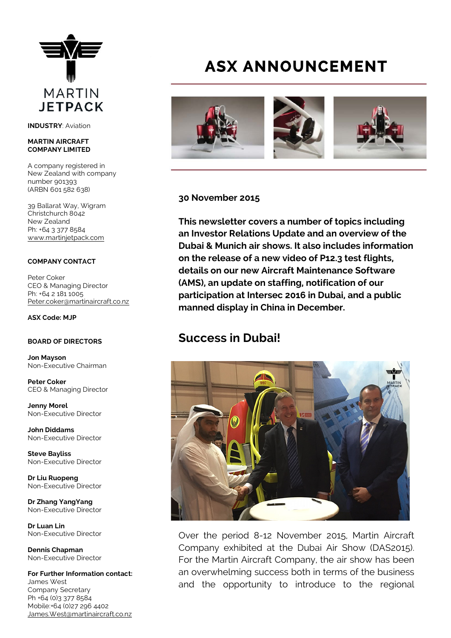

**INDUSTRY**: Aviation

#### **MARTIN AIRCRAFT COMPANY LIMITED**

A company registered in New Zealand with company number 901393 (ARBN 601 582 638)

39 Ballarat Way, Wigram Christchurch 8042 New Zealand Ph: +64 3 377 8584 [www.martinjetpack.com](http://www.martinjetpack.com)

#### **COMPANY CONTACT**

Peter Coker CEO & Managing Director Ph: +64 2 181 1005 [Peter.coker@martinaircraft.co.nz](mailto:Peter.coker@martinaircraft.co.nz)

#### **ASX Code: MJP**

### **BOARD OF DIRECTORS**

**Jon Mayson**  Non-Executive Chairman

**Peter Coker**  CEO & Managing Director

**Jenny Morel**  Non-Executive Director

**John Diddams**  Non-Executive Director

**Steve Bayliss** Non-Executive Director

**Dr Liu Ruopeng**  Non-Executive Director

**Dr Zhang YangYang**  Non-Executive Director

**Dr Luan Lin** Non-Executive Director

**Dennis Chapman** Non-Executive Director

**For Further Information contact:** James West Company Secretary Ph +64 (0)3 377 8584 Mobile:+64 (0)27 296 4402 [James.West@martinaircraft.co.nz](mailto:James.West@martinaircraft.co.nz)

# **ASX ANNOUNCEMENT**



### **30 November 2015**

**This newsletter covers a number of topics including an Investor Relations Update and an overview of the Dubai & Munich air shows. It also includes information on the release of a new video of P12.3 test flights, details on our new Aircraft Maintenance Software (AMS), an update on staffing, notification of our participation at Intersec 2016 in Dubai, and a public manned display in China in December.**

### **Success in Dubai!**



Over the period 8-12 November 2015, Martin Aircraft Company exhibited at the Dubai Air Show (DAS2015). For the Martin Aircraft Company, the air show has been an overwhelming success both in terms of the business and the opportunity to introduce to the regional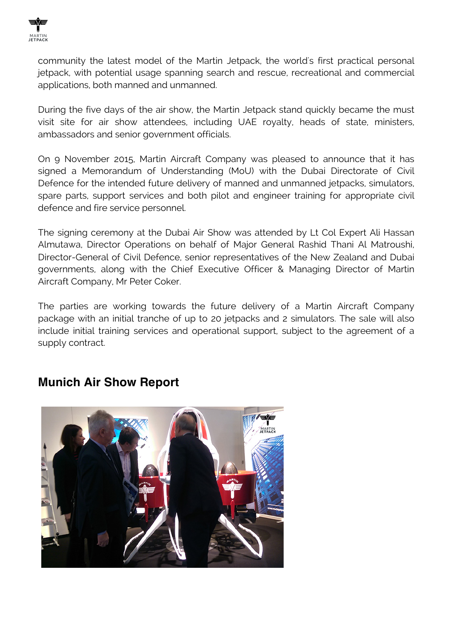

community the latest model of the Martin Jetpack, the world's first practical personal jetpack, with potential usage spanning search and rescue, recreational and commercial applications, both manned and unmanned.

During the five days of the air show, the Martin Jetpack stand quickly became the must visit site for air show attendees, including UAE royalty, heads of state, ministers, ambassadors and senior government officials.

On 9 November 2015, Martin Aircraft Company was pleased to announce that it has signed a Memorandum of Understanding (MoU) with the Dubai Directorate of Civil Defence for the intended future delivery of manned and unmanned jetpacks, simulators, spare parts, support services and both pilot and engineer training for appropriate civil defence and fire service personnel.

The signing ceremony at the Dubai Air Show was attended by Lt Col Expert Ali Hassan Almutawa, Director Operations on behalf of Major General Rashid Thani Al Matroushi, Director-General of Civil Defence, senior representatives of the New Zealand and Dubai governments, along with the Chief Executive Officer & Managing Director of Martin Aircraft Company, Mr Peter Coker.

The parties are working towards the future delivery of a Martin Aircraft Company package with an initial tranche of up to 20 jetpacks and 2 simulators. The sale will also include initial training services and operational support, subject to the agreement of a supply contract.

### **Munich Air Show Report**

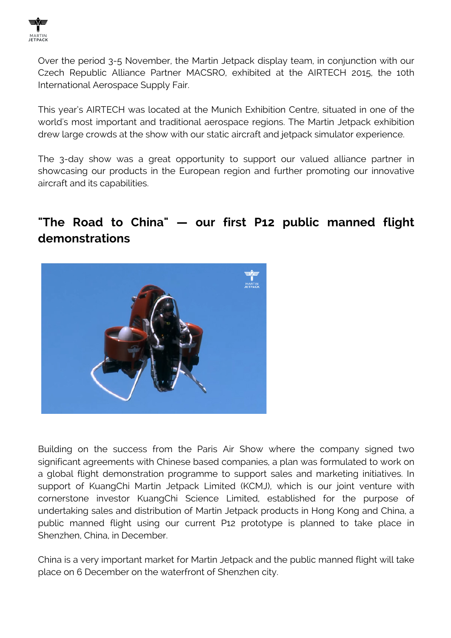

Over the period 3-5 November, the Martin Jetpack display team, in conjunction with our Czech Republic Alliance Partner MACSRO, exhibited at the AIRTECH 2015, the 10th International Aerospace Supply Fair.

This year's AIRTECH was located at the Munich Exhibition Centre, situated in one of the world's most important and traditional aerospace regions. The Martin Jetpack exhibition drew large crowds at the show with our static aircraft and jetpack simulator experience.

The 3-day show was a great opportunity to support our valued alliance partner in showcasing our products in the European region and further promoting our innovative aircraft and its capabilities.

# **"The Road to China" — our first P12 public manned flight demonstrations**



Building on the success from the Paris Air Show where the company signed two significant agreements with Chinese based companies, a plan was formulated to work on a global flight demonstration programme to support sales and marketing initiatives. In support of KuangChi Martin Jetpack Limited (KCMJ), which is our joint venture with cornerstone investor KuangChi Science Limited, established for the purpose of undertaking sales and distribution of Martin Jetpack products in Hong Kong and China, a public manned flight using our current P12 prototype is planned to take place in Shenzhen, China, in December.

China is a very important market for Martin Jetpack and the public manned flight will take place on 6 December on the waterfront of Shenzhen city.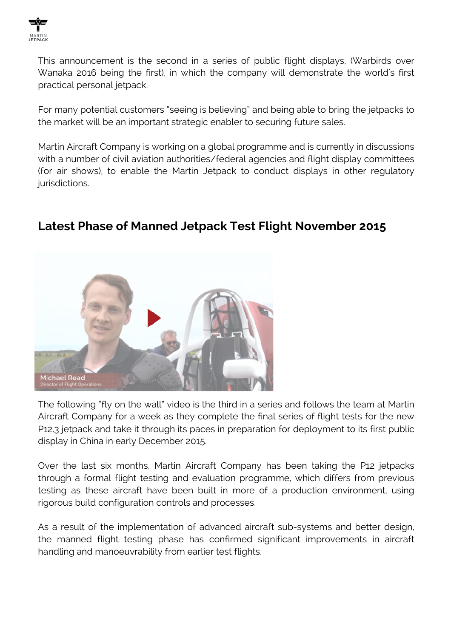

This announcement is the second in a series of public flight displays, (Warbirds over Wanaka 2016 being the first), in which the company will demonstrate the world's first practical personal jetpack.

For many potential customers "seeing is believing" and being able to bring the jetpacks to the market will be an important strategic enabler to securing future sales.

Martin Aircraft Company is working on a global programme and is currently in discussions with a number of civil aviation authorities/federal agencies and flight display committees (for air shows), to enable the Martin Jetpack to conduct displays in other regulatory jurisdictions.



# **Latest Phase of Manned Jetpack Test Flight November 2015**

The following "fly on the wall" video is the third in a series and follows the team at Martin Aircraft Company for a week as they complete the final series of flight tests for the new P12.3 jetpack and take it through its paces in preparation for deployment to its first public display in China in early December 2015.

Over the last six months, Martin Aircraft Company has been taking the P12 jetpacks through a formal flight testing and evaluation programme, which differs from previous testing as these aircraft have been built in more of a production environment, using rigorous build configuration controls and processes.

As a result of the implementation of advanced aircraft sub-systems and better design, the manned flight testing phase has confirmed significant improvements in aircraft handling and manoeuvrability from earlier test flights.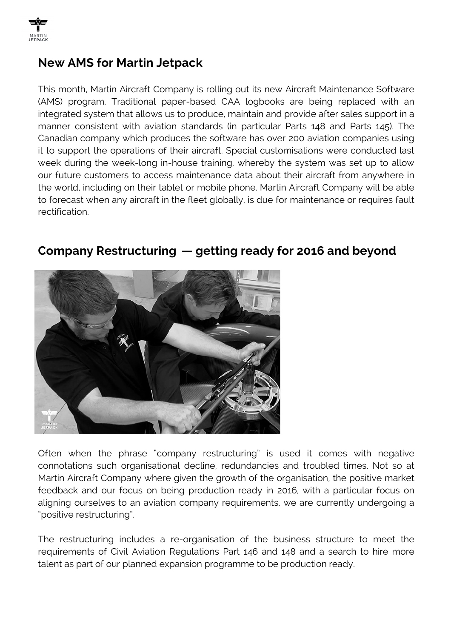

## **New AMS for Martin Jetpack**

This month, Martin Aircraft Company is rolling out its new Aircraft Maintenance Software (AMS) program. Traditional paper-based CAA logbooks are being replaced with an integrated system that allows us to produce, maintain and provide after sales support in a manner consistent with aviation standards (in particular Parts 148 and Parts 145). The Canadian company which produces the software has over 200 aviation companies using it to support the operations of their aircraft. Special customisations were conducted last week during the week-long in-house training, whereby the system was set up to allow our future customers to access maintenance data about their aircraft from anywhere in the world, including on their tablet or mobile phone. Martin Aircraft Company will be able to forecast when any aircraft in the fleet globally, is due for maintenance or requires fault rectification.



# **Company Restructuring — getting ready for 2016 and beyond**

Often when the phrase "company restructuring" is used it comes with negative connotations such organisational decline, redundancies and troubled times. Not so at Martin Aircraft Company where given the growth of the organisation, the positive market feedback and our focus on being production ready in 2016, with a particular focus on aligning ourselves to an aviation company requirements, we are currently undergoing a "positive restructuring".

The restructuring includes a re-organisation of the business structure to meet the requirements of Civil Aviation Regulations Part 146 and 148 and a search to hire more talent as part of our planned expansion programme to be production ready.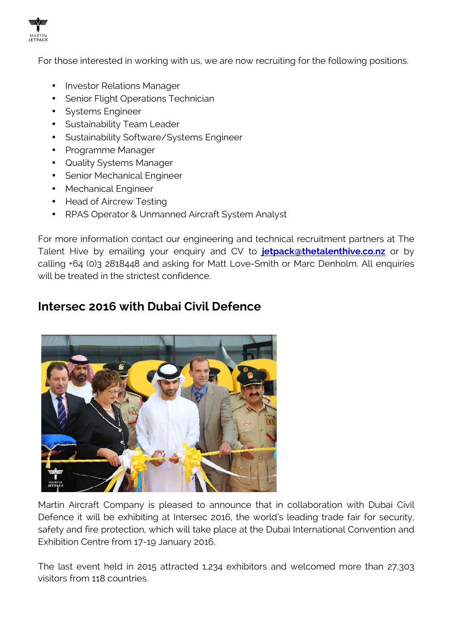

For those interested in working with us, we are now recruiting for the following positions.

- Investor Relations Manager
- Senior Flight Operations Technician
- Systems Engineer
- Sustainability Team Leader
- Sustainability Software/Systems Engineer
- Programme Manager
- Quality Systems Manager
- Senior Mechanical Engineer
- Mechanical Engineer
- Head of Aircrew Testing
- RPAS Operator & Unmanned Aircraft System Analyst

For more information contact our engineering and technical recruitment partners at The Talent Hive by emailing your enquiry and CV to **[jetpack@thetalenthive.co.nz](http://jetpack@thetalenthive.co.nz/)** or by calling +64 (0)3 2818448 and asking for Matt Love-Smith or Marc Denholm. All enquiries will be treated in the strictest confidence.

### **Intersec 2016 with Dubai Civil Defence**



Martin Aircraft Company is pleased to announce that in collaboration with Dubai Civil Defence it will be exhibiting at Intersec 2016, the world's leading trade fair for security, safety and fire protection, which will take place at the Dubai International Convention and Exhibition Centre from 17-19 January 2016.

The last event held in 2015 attracted 1,234 exhibitors and welcomed more than 27,303 visitors from 118 countries.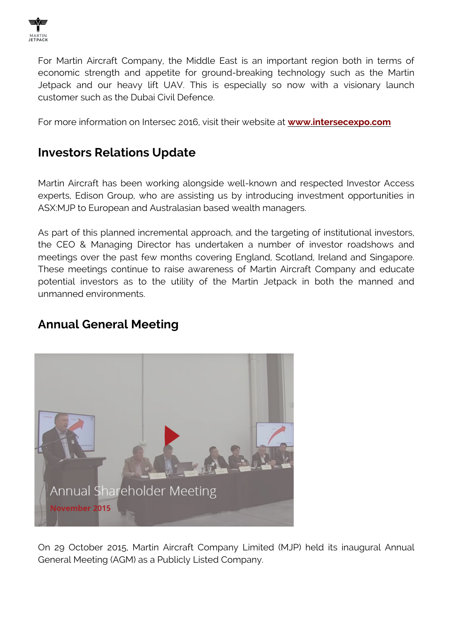

For Martin Aircraft Company, the Middle East is an important region both in terms of economic strength and appetite for ground-breaking technology such as the Martin Jetpack and our heavy lift UAV. This is especially so now with a visionary launch customer such as the Dubai Civil Defence.

For more information on Intersec 2016, visit their website at **[www.intersecexpo.com](http://www.intersecexpo.com)**

# **Investors Relations Update**

Martin Aircraft has been working alongside well-known and respected Investor Access experts, Edison Group, who are assisting us by introducing investment opportunities in ASX:MJP to European and Australasian based wealth managers.

As part of this planned incremental approach, and the targeting of institutional investors, the CEO & Managing Director has undertaken a number of investor roadshows and meetings over the past few months covering England, Scotland, Ireland and Singapore. These meetings continue to raise awareness of Martin Aircraft Company and educate potential investors as to the utility of the Martin Jetpack in both the manned and unmanned environments.

# **Annual General Meeting**



On 29 October 2015, Martin Aircraft Company Limited (MJP) held its inaugural Annual General Meeting (AGM) as a Publicly Listed Company.